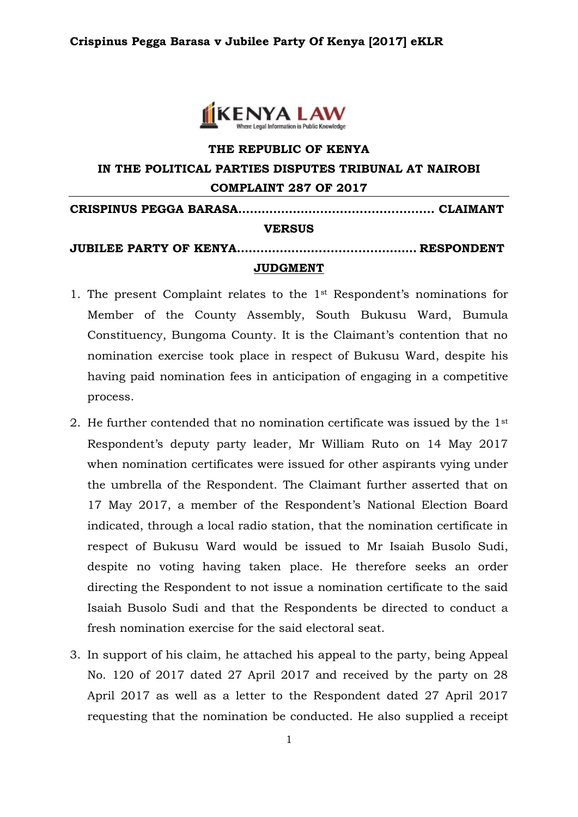

# **THE REPUBLIC OF KENYA IN THE POLITICAL PARTIES DISPUTES TRIBUNAL AT NAIROBI COMPLAINT 287 OF 2017**

**CRISPINUS PEGGA BARASA………..…….…............................. CLAIMANT**

### **VERSUS**

## **JUBILEE PARTY OF KENYA..……………….................……… RESPONDENT JUDGMENT**

- 1. The present Complaint relates to the 1st Respondent's nominations for Member of the County Assembly, South Bukusu Ward, Bumula Constituency, Bungoma County. It is the Claimant's contention that no nomination exercise took place in respect of Bukusu Ward, despite his having paid nomination fees in anticipation of engaging in a competitive process.
- 2. He further contended that no nomination certificate was issued by the 1st Respondent's deputy party leader, Mr William Ruto on 14 May 2017 when nomination certificates were issued for other aspirants vying under the umbrella of the Respondent. The Claimant further asserted that on 17 May 2017, a member of the Respondent's National Election Board indicated, through a local radio station, that the nomination certificate in respect of Bukusu Ward would be issued to Mr Isaiah Busolo Sudi, despite no voting having taken place. He therefore seeks an order directing the Respondent to not issue a nomination certificate to the said Isaiah Busolo Sudi and that the Respondents be directed to conduct a fresh nomination exercise for the said electoral seat.
- 3. In support of his claim, he attached his appeal to the party, being Appeal No. 120 of 2017 dated 27 April 2017 and received by the party on 28 April 2017 as well as a letter to the Respondent dated 27 April 2017 requesting that the nomination be conducted. He also supplied a receipt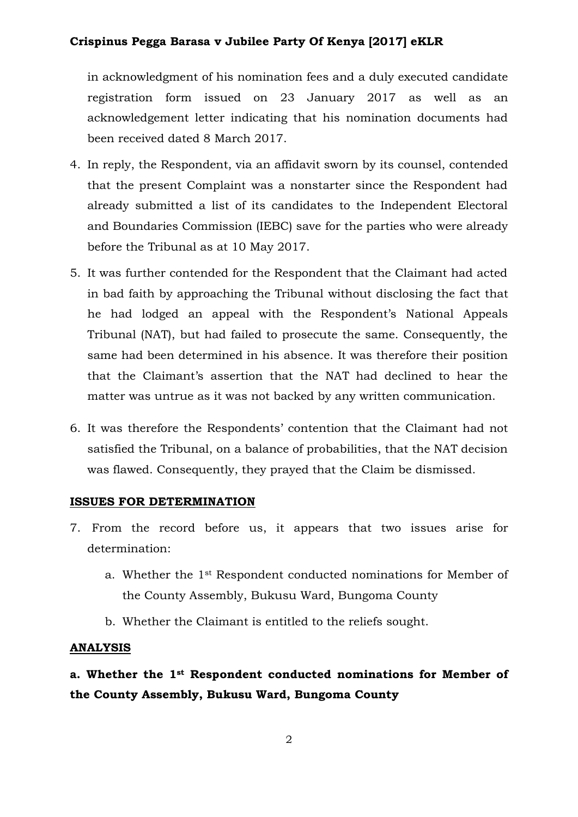## **Crispinus Pegga Barasa v Jubilee Party Of Kenya [2017] eKLR**

in acknowledgment of his nomination fees and a duly executed candidate registration form issued on 23 January 2017 as well as an acknowledgement letter indicating that his nomination documents had been received dated 8 March 2017.

- 4. In reply, the Respondent, via an affidavit sworn by its counsel, contended that the present Complaint was a nonstarter since the Respondent had already submitted a list of its candidates to the Independent Electoral and Boundaries Commission (IEBC) save for the parties who were already before the Tribunal as at 10 May 2017.
- 5. It was further contended for the Respondent that the Claimant had acted in bad faith by approaching the Tribunal without disclosing the fact that he had lodged an appeal with the Respondent's National Appeals Tribunal (NAT), but had failed to prosecute the same. Consequently, the same had been determined in his absence. It was therefore their position that the Claimant's assertion that the NAT had declined to hear the matter was untrue as it was not backed by any written communication.
- 6. It was therefore the Respondents' contention that the Claimant had not satisfied the Tribunal, on a balance of probabilities, that the NAT decision was flawed. Consequently, they prayed that the Claim be dismissed.

### **ISSUES FOR DETERMINATION**

- 7. From the record before us, it appears that two issues arise for determination:
	- a. Whether the 1st Respondent conducted nominations for Member of the County Assembly, Bukusu Ward, Bungoma County
	- b. Whether the Claimant is entitled to the reliefs sought.

### **ANALYSIS**

# **a. Whether the 1st Respondent conducted nominations for Member of the County Assembly, Bukusu Ward, Bungoma County**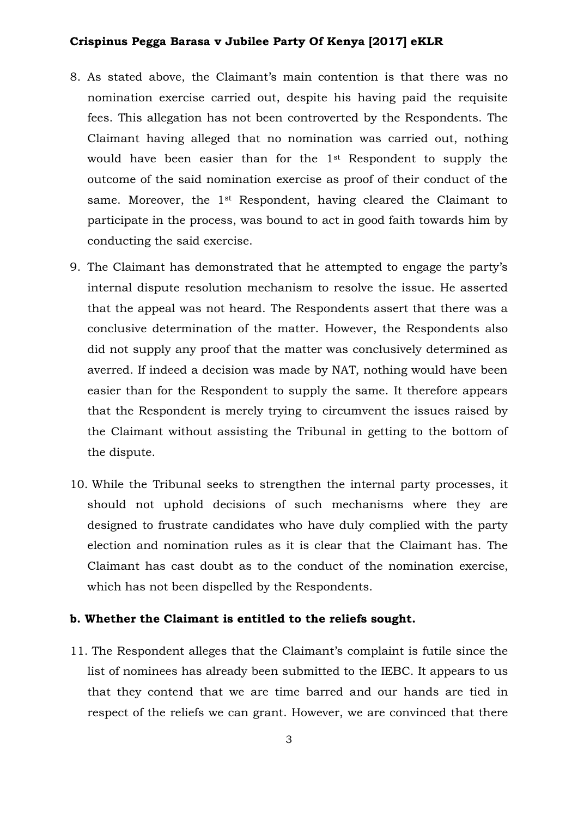## **Crispinus Pegga Barasa v Jubilee Party Of Kenya [2017] eKLR**

- 8. As stated above, the Claimant's main contention is that there was no nomination exercise carried out, despite his having paid the requisite fees. This allegation has not been controverted by the Respondents. The Claimant having alleged that no nomination was carried out, nothing would have been easier than for the 1st Respondent to supply the outcome of the said nomination exercise as proof of their conduct of the same. Moreover, the 1<sup>st</sup> Respondent, having cleared the Claimant to participate in the process, was bound to act in good faith towards him by conducting the said exercise.
- 9. The Claimant has demonstrated that he attempted to engage the party's internal dispute resolution mechanism to resolve the issue. He asserted that the appeal was not heard. The Respondents assert that there was a conclusive determination of the matter. However, the Respondents also did not supply any proof that the matter was conclusively determined as averred. If indeed a decision was made by NAT, nothing would have been easier than for the Respondent to supply the same. It therefore appears that the Respondent is merely trying to circumvent the issues raised by the Claimant without assisting the Tribunal in getting to the bottom of the dispute.
- 10. While the Tribunal seeks to strengthen the internal party processes, it should not uphold decisions of such mechanisms where they are designed to frustrate candidates who have duly complied with the party election and nomination rules as it is clear that the Claimant has. The Claimant has cast doubt as to the conduct of the nomination exercise, which has not been dispelled by the Respondents.

### **b. Whether the Claimant is entitled to the reliefs sought.**

11. The Respondent alleges that the Claimant's complaint is futile since the list of nominees has already been submitted to the IEBC. It appears to us that they contend that we are time barred and our hands are tied in respect of the reliefs we can grant. However, we are convinced that there